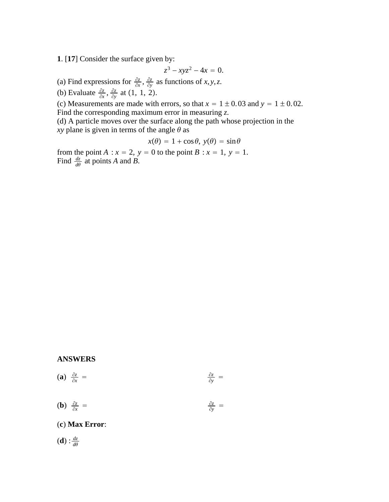**1**. [**17**] Consider the surface given by:

$$
z^3 - xyz^2 - 4x = 0.
$$

(a) Find expressions for  $\frac{\partial z}{\partial x}$ ,  $\frac{\partial z}{\partial y}$  as functions of *x*, *y*, *z*.

(b) Evaluate  $\frac{\partial z}{\partial x}$ ,  $\frac{\partial z}{\partial y}$  at (1, 1, 2).

(c) Measurements are made with errors, so that  $x = 1 \pm 0.03$  and  $y = 1 \pm 0.02$ . Find the corresponding maximum error in measuring *z*.

(d) A particle moves over the surface along the path whose projection in the *xy* plane is given in terms of the angle  $\theta$  as

$$
x(\theta) = 1 + \cos \theta, \ y(\theta) = \sin \theta
$$

from the point  $A: x = 2$ ,  $y = 0$  to the point  $B: x = 1$ ,  $y = 1$ . Find  $\frac{dz}{d\theta}$  at points *A* and *B*.

### **ANSWERS**

$$
(a) \frac{\partial z}{\partial x} = \frac{\partial z}{\partial y} =
$$

(**b**)  $\frac{\partial z}{\partial x}$  =  $\frac{\partial z}{\partial x}$  =  $\frac{\partial z}{\partial y}$  $\frac{\partial z}{\partial y}$  =

(**c**) **Max Error**:

 $(d)$  :  $\frac{dz}{d\theta}$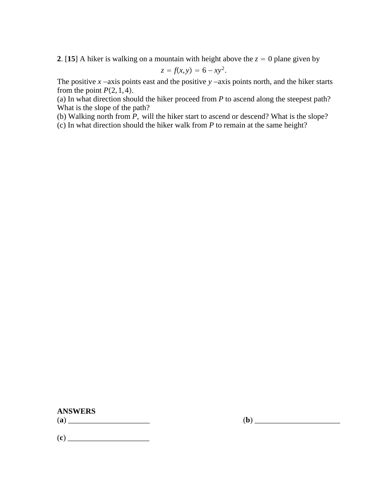**2**. [15] A hiker is walking on a mountain with height above the  $z = 0$  plane given by

$$
z = f(x, y) = 6 - xy^2.
$$

The positive *x* −axis points east and the positive *y* −axis points north, and the hiker starts from the point  $P(2, 1, 4)$ .

(a) In what direction should the hiker proceed from *P* to ascend along the steepest path? What is the slope of the path?

(b) Walking north from *P*, will the hiker start to ascend or descend? What is the slope? (c) In what direction should the hiker walk from *P* to remain at the same height?

**ANSWERS**

(**a**) \_\_\_\_\_\_\_\_\_\_\_\_\_\_\_\_\_\_\_\_\_ (**b**) \_\_\_\_\_\_\_\_\_\_\_\_\_\_\_\_\_\_\_\_\_\_

(**c**) \_\_\_\_\_\_\_\_\_\_\_\_\_\_\_\_\_\_\_\_\_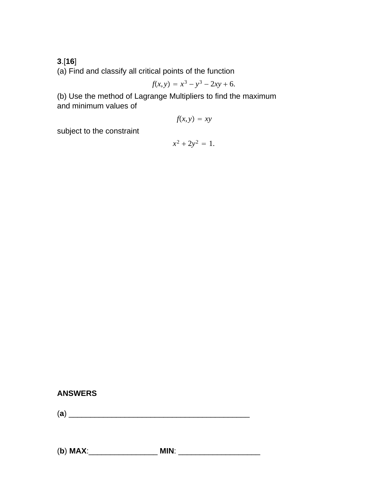**3**.[**16**]

(a) Find and classify all critical points of the function

$$
f(x, y) = x^3 - y^3 - 2xy + 6.
$$

(b) Use the method of Lagrange Multipliers to find the maximum and minimum values of

$$
f(x, y) = xy
$$

subject to the constraint

$$
x^2 + 2y^2 = 1.
$$

## **ANSWERS**

(**a**) \_\_\_\_\_\_\_\_\_\_\_\_\_\_\_\_\_\_\_\_\_\_\_\_\_\_\_\_\_\_\_\_\_\_\_\_\_\_\_\_\_\_

(**b**) **MAX**:\_\_\_\_\_\_\_\_\_\_\_\_\_\_\_\_ **MIN**: \_\_\_\_\_\_\_\_\_\_\_\_\_\_\_\_\_\_\_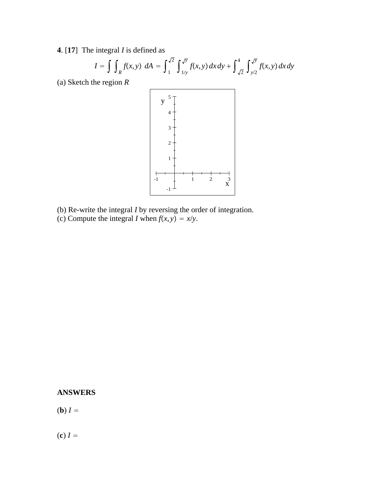**4**. [**17**] The integral *I* is defined as

$$
I = \int \int_{R} f(x, y) \ dA = \int_{1}^{\sqrt{2}} \int_{1/y}^{\sqrt{y}} f(x, y) \ dx \ dy + \int_{\sqrt{2}}^{4} \int_{y/2}^{\sqrt{y}} f(x, y) \ dx \ dy
$$

(a) Sketch the region *R*



- (b) Re-write the integral *I* by reversing the order of integration.
- (c) Compute the integral *I* when  $f(x, y) = x/y$ .

## **ANSWERS**

(**b**)  $I =$ 

 $(c) I =$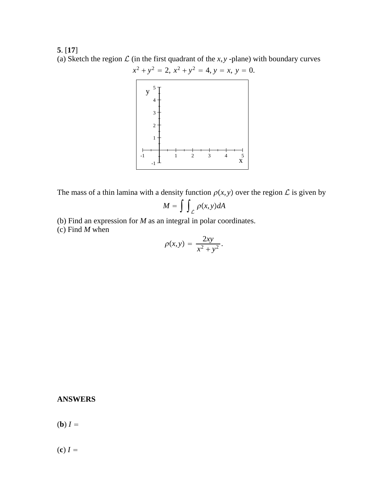# **5**. [**17**] (a) Sketch the region  $\mathcal L$  (in the first quadrant of the *x*, *y* -plane) with boundary curves



The mass of a thin lamina with a density function  $\rho(x, y)$  over the region  $\mathcal L$  is given by

$$
M = \int \int_{\mathcal{L}} \rho(x, y) dA
$$

(b) Find an expression for *M* as an integral in polar coordinates. (c) Find *M* when

$$
\rho(x,y) = \frac{2xy}{x^2 + y^2}.
$$

## **ANSWERS**

(**b**)  $I =$ 

 $f(c) I =$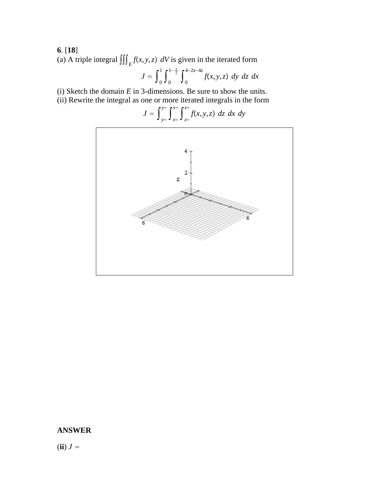# **6**. [**18**]

(a) A triple integral  $\iiint_E f(x, y, z) dV$  is given in the iterated form

$$
J = \int_0^1 \int_0^{1-\frac{x}{2}} \int_0^{4-2x-4z} f(x, y, z) \, dy \, dz \, dx
$$

(i) Sketch the domain  $E$  in 3-dimensions. Be sure to show the units.

(ii) Rewrite the integral as one or more iterated integrals in the form

$$
J = \int_{y=}^{y=} \int_{x=}^{x=} \int_{z=}^{z=} f(x, y, z) \ dz \ dx \ dy
$$



## **ANSWER**

 $(iii) J =$